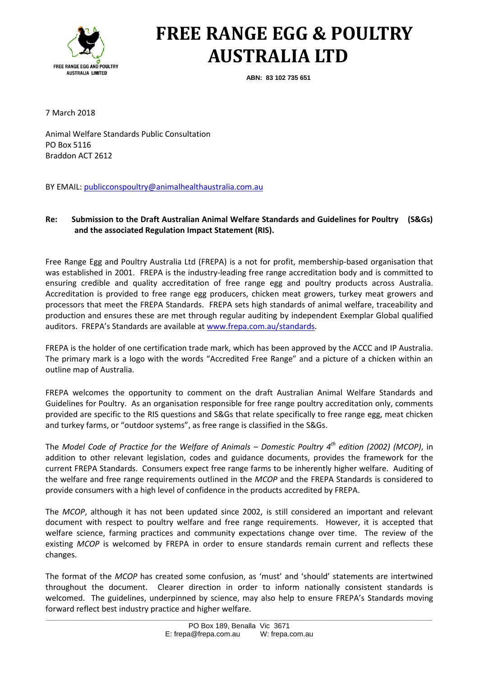

# **FREE RANGE EGG & POULTRY AUSTRALIA LTD**

**ABN: 83 102 735 651**

7 March 2018

Animal Welfare Standards Public Consultation PO Box 5116 Braddon ACT 2612

BY EMAIL[: publicconspoultry@animalhealthaustralia.com.au](mailto:publicconspoultry@animalhealthaustralia.com.au)

# **Re: Submission to the Draft Australian Animal Welfare Standards and Guidelines for Poultry (S&Gs) and the associated Regulation Impact Statement (RIS).**

Free Range Egg and Poultry Australia Ltd (FREPA) is a not for profit, membership-based organisation that was established in 2001. FREPA is the industry-leading free range accreditation body and is committed to ensuring credible and quality accreditation of free range egg and poultry products across Australia. Accreditation is provided to free range egg producers, chicken meat growers, turkey meat growers and processors that meet the FREPA Standards. FREPA sets high standards of animal welfare, traceability and production and ensures these are met through regular auditing by independent Exemplar Global qualified auditors. FREPA's Standards are available at [www.frepa.com.au/standards.](http://www.frepa.com.au/standards)

FREPA is the holder of one certification trade mark, which has been approved by the ACCC and IP Australia. The primary mark is a logo with the words "Accredited Free Range" and a picture of a chicken within an outline map of Australia.

FREPA welcomes the opportunity to comment on the draft Australian Animal Welfare Standards and Guidelines for Poultry. As an organisation responsible for free range poultry accreditation only, comments provided are specific to the RIS questions and S&Gs that relate specifically to free range egg, meat chicken and turkey farms, or "outdoor systems", as free range is classified in the S&Gs.

The *Model Code of Practice for the Welfare of Animals – Domestic Poultry 4th edition (2002) (MCOP)*, in addition to other relevant legislation, codes and guidance documents, provides the framework for the current FREPA Standards. Consumers expect free range farms to be inherently higher welfare. Auditing of the welfare and free range requirements outlined in the *MCOP* and the FREPA Standards is considered to provide consumers with a high level of confidence in the products accredited by FREPA.

The *MCOP*, although it has not been updated since 2002, is still considered an important and relevant document with respect to poultry welfare and free range requirements. However, it is accepted that welfare science, farming practices and community expectations change over time. The review of the existing *MCOP* is welcomed by FREPA in order to ensure standards remain current and reflects these changes.

The format of the *MCOP* has created some confusion, as 'must' and 'should' statements are intertwined throughout the document. Clearer direction in order to inform nationally consistent standards is welcomed. The guidelines, underpinned by science, may also help to ensure FREPA's Standards moving forward reflect best industry practice and higher welfare.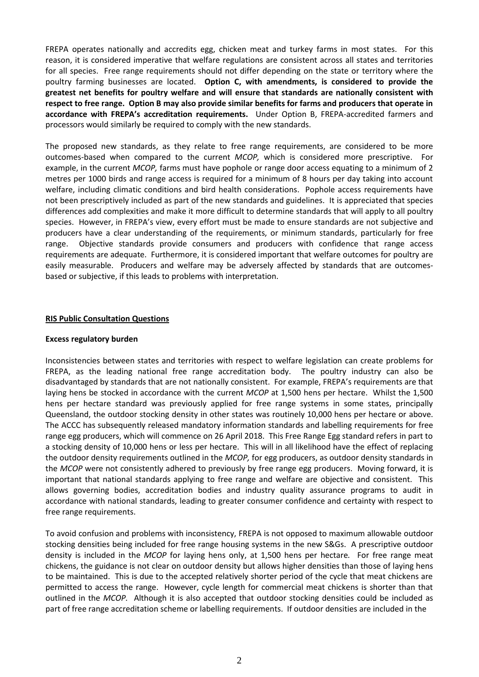FREPA operates nationally and accredits egg, chicken meat and turkey farms in most states. For this reason, it is considered imperative that welfare regulations are consistent across all states and territories for all species. Free range requirements should not differ depending on the state or territory where the poultry farming businesses are located. **Option C, with amendments, is considered to provide the greatest net benefits for poultry welfare and will ensure that standards are nationally consistent with respect to free range. Option B may also provide similar benefits for farms and producers that operate in accordance with FREPA's accreditation requirements.** Under Option B, FREPA-accredited farmers and processors would similarly be required to comply with the new standards.

The proposed new standards, as they relate to free range requirements, are considered to be more outcomes-based when compared to the current *MCOP,* which is considered more prescriptive. For example, in the current *MCOP,* farms must have pophole or range door access equating to a minimum of 2 metres per 1000 birds and range access is required for a minimum of 8 hours per day taking into account welfare, including climatic conditions and bird health considerations. Pophole access requirements have not been prescriptively included as part of the new standards and guidelines. It is appreciated that species differences add complexities and make it more difficult to determine standards that will apply to all poultry species. However, in FREPA's view, every effort must be made to ensure standards are not subjective and producers have a clear understanding of the requirements, or minimum standards, particularly for free range. Objective standards provide consumers and producers with confidence that range access requirements are adequate. Furthermore, it is considered important that welfare outcomes for poultry are easily measurable. Producers and welfare may be adversely affected by standards that are outcomesbased or subjective, if this leads to problems with interpretation.

# **RIS Public Consultation Questions**

# **Excess regulatory burden**

Inconsistencies between states and territories with respect to welfare legislation can create problems for FREPA, as the leading national free range accreditation body. The poultry industry can also be disadvantaged by standards that are not nationally consistent. For example, FREPA's requirements are that laying hens be stocked in accordance with the current *MCOP* at 1,500 hens per hectare. Whilst the 1,500 hens per hectare standard was previously applied for free range systems in some states, principally Queensland, the outdoor stocking density in other states was routinely 10,000 hens per hectare or above. The ACCC has subsequently released mandatory information standards and labelling requirements for free range egg producers, which will commence on 26 April 2018. This Free Range Egg standard refers in part to a stocking density of 10,000 hens or less per hectare. This will in all likelihood have the effect of replacing the outdoor density requirements outlined in the *MCOP,* for egg producers, as outdoor density standards in the *MCOP* were not consistently adhered to previously by free range egg producers. Moving forward, it is important that national standards applying to free range and welfare are objective and consistent. This allows governing bodies, accreditation bodies and industry quality assurance programs to audit in accordance with national standards, leading to greater consumer confidence and certainty with respect to free range requirements.

To avoid confusion and problems with inconsistency, FREPA is not opposed to maximum allowable outdoor stocking densities being included for free range housing systems in the new S&Gs. A prescriptive outdoor density is included in the *MCOP* for laying hens only, at 1,500 hens per hectare*.* For free range meat chickens, the guidance is not clear on outdoor density but allows higher densities than those of laying hens to be maintained. This is due to the accepted relatively shorter period of the cycle that meat chickens are permitted to access the range. However, cycle length for commercial meat chickens is shorter than that outlined in the *MCOP.* Although it is also accepted that outdoor stocking densities could be included as part of free range accreditation scheme or labelling requirements. If outdoor densities are included in the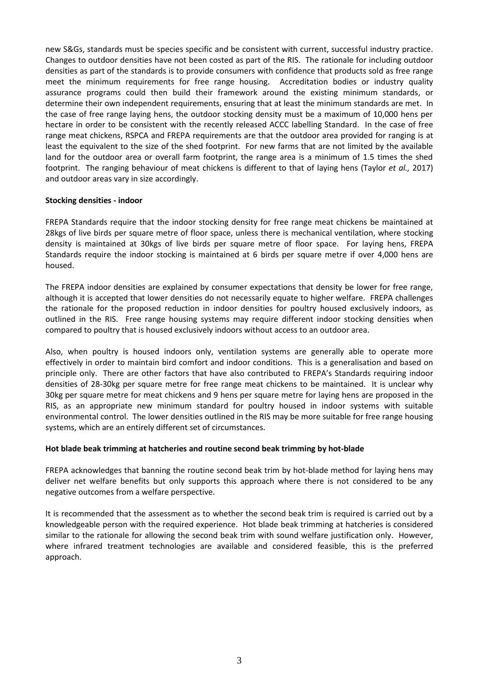new S&Gs, standards must be species specific and be consistent with current, successful industry practice. Changes to outdoor densities have not been costed as part of the RIS. The rationale for including outdoor densities as part of the standards is to provide consumers with confidence that products sold as free range meet the minimum requirements for free range housing. Accreditation bodies or industry quality assurance programs could then build their framework around the existing minimum standards, or determine their own independent requirements, ensuring that at least the minimum standards are met. In the case of free range laying hens, the outdoor stocking density must be a maximum of 10,000 hens per hectare in order to be consistent with the recently released ACCC labelling Standard. In the case of free range meat chickens, RSPCA and FREPA requirements are that the outdoor area provided for ranging is at least the equivalent to the size of the shed footprint. For new farms that are not limited by the available land for the outdoor area or overall farm footprint, the range area is a minimum of 1.5 times the shed footprint. The ranging behaviour of meat chickens is different to that of laying hens (Taylor *et al.,* 2017) and outdoor areas vary in size accordingly.

# **Stocking densities - indoor**

FREPA Standards require that the indoor stocking density for free range meat chickens be maintained at 28kgs of live birds per square metre of floor space, unless there is mechanical ventilation, where stocking density is maintained at 30kgs of live birds per square metre of floor space. For laying hens, FREPA Standards require the indoor stocking is maintained at 6 birds per square metre if over 4,000 hens are housed.

The FREPA indoor densities are explained by consumer expectations that density be lower for free range, although it is accepted that lower densities do not necessarily equate to higher welfare. FREPA challenges the rationale for the proposed reduction in indoor densities for poultry housed exclusively indoors, as outlined in the RIS. Free range housing systems may require different indoor stocking densities when compared to poultry that is housed exclusively indoors without access to an outdoor area.

Also, when poultry is housed indoors only, ventilation systems are generally able to operate more effectively in order to maintain bird comfort and indoor conditions. This is a generalisation and based on principle only. There are other factors that have also contributed to FREPA's Standards requiring indoor densities of 28-30kg per square metre for free range meat chickens to be maintained. It is unclear why 30kg per square metre for meat chickens and 9 hens per square metre for laying hens are proposed in the RIS, as an appropriate new minimum standard for poultry housed in indoor systems with suitable environmental control. The lower densities outlined in the RIS may be more suitable for free range housing systems, which are an entirely different set of circumstances.

# **Hot blade beak trimming at hatcheries and routine second beak trimming by hot-blade**

FREPA acknowledges that banning the routine second beak trim by hot-blade method for laying hens may deliver net welfare benefits but only supports this approach where there is not considered to be any negative outcomes from a welfare perspective.

It is recommended that the assessment as to whether the second beak trim is required is carried out by a knowledgeable person with the required experience. Hot blade beak trimming at hatcheries is considered similar to the rationale for allowing the second beak trim with sound welfare justification only. However, where infrared treatment technologies are available and considered feasible, this is the preferred approach.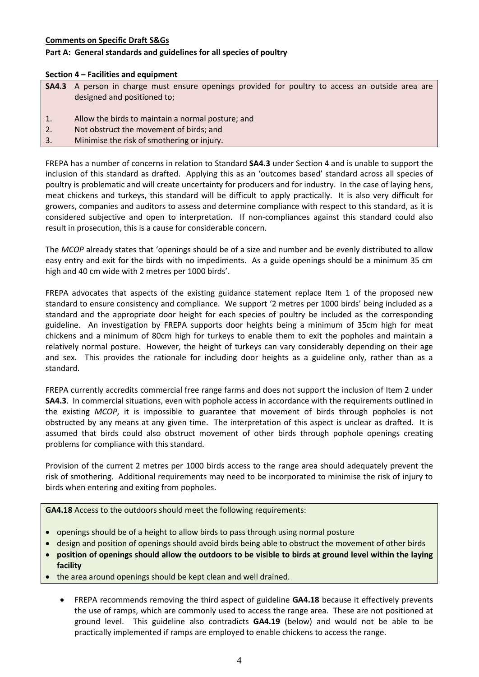# **Comments on Specific Draft S&Gs**

# **Part A: General standards and guidelines for all species of poultry**

#### **Section 4 – Facilities and equipment**

|    | <b>SA4.3</b> A person in charge must ensure openings provided for poultry to access an outside area are<br>designed and positioned to; |
|----|----------------------------------------------------------------------------------------------------------------------------------------|
| 1. | Allow the birds to maintain a normal posture; and                                                                                      |
| 2. | Not obstruct the movement of birds; and                                                                                                |
| 3. | Minimise the risk of smothering or injury.                                                                                             |
|    |                                                                                                                                        |

FREPA has a number of concerns in relation to Standard **SA4.3** under Section 4 and is unable to support the inclusion of this standard as drafted. Applying this as an 'outcomes based' standard across all species of poultry is problematic and will create uncertainty for producers and for industry. In the case of laying hens, meat chickens and turkeys, this standard will be difficult to apply practically. It is also very difficult for growers, companies and auditors to assess and determine compliance with respect to this standard, as it is considered subjective and open to interpretation. If non-compliances against this standard could also result in prosecution, this is a cause for considerable concern.

The *MCOP* already states that 'openings should be of a size and number and be evenly distributed to allow easy entry and exit for the birds with no impediments. As a guide openings should be a minimum 35 cm high and 40 cm wide with 2 metres per 1000 birds'.

FREPA advocates that aspects of the existing guidance statement replace Item 1 of the proposed new standard to ensure consistency and compliance. We support '2 metres per 1000 birds' being included as a standard and the appropriate door height for each species of poultry be included as the corresponding guideline. An investigation by FREPA supports door heights being a minimum of 35cm high for meat chickens and a minimum of 80cm high for turkeys to enable them to exit the popholes and maintain a relatively normal posture. However, the height of turkeys can vary considerably depending on their age and sex. This provides the rationale for including door heights as a guideline only, rather than as a standard.

FREPA currently accredits commercial free range farms and does not support the inclusion of Item 2 under **SA4.3**. In commercial situations, even with pophole access in accordance with the requirements outlined in the existing *MCOP*, it is impossible to guarantee that movement of birds through popholes is not obstructed by any means at any given time. The interpretation of this aspect is unclear as drafted. It is assumed that birds could also obstruct movement of other birds through pophole openings creating problems for compliance with this standard.

Provision of the current 2 metres per 1000 birds access to the range area should adequately prevent the risk of smothering. Additional requirements may need to be incorporated to minimise the risk of injury to birds when entering and exiting from popholes.

**GA4.18** Access to the outdoors should meet the following requirements:

- openings should be of a height to allow birds to pass through using normal posture
- design and position of openings should avoid birds being able to obstruct the movement of other birds
- **position of openings should allow the outdoors to be visible to birds at ground level within the laying facility**
- the area around openings should be kept clean and well drained.
	- FREPA recommends removing the third aspect of guideline **GA4.18** because it effectively prevents the use of ramps, which are commonly used to access the range area. These are not positioned at ground level. This guideline also contradicts **GA4.19** (below) and would not be able to be practically implemented if ramps are employed to enable chickens to access the range.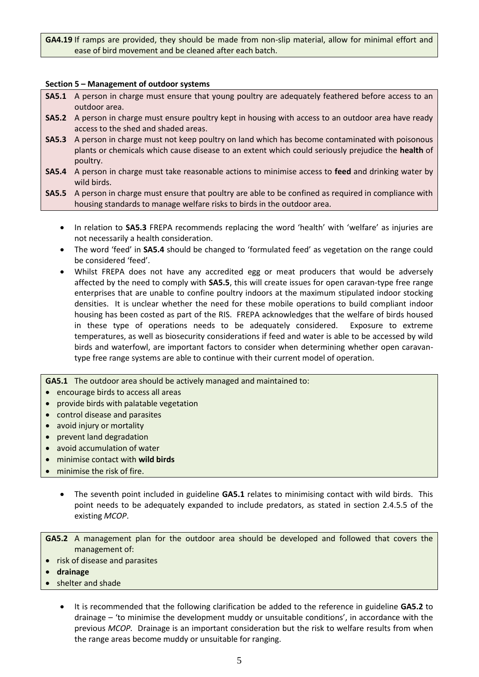**GA4.19** If ramps are provided, they should be made from non-slip material, allow for minimal effort and ease of bird movement and be cleaned after each batch.

#### **Section 5 – Management of outdoor systems**

- **SA5.1** A person in charge must ensure that young poultry are adequately feathered before access to an outdoor area.
- **SA5.2** A person in charge must ensure poultry kept in housing with access to an outdoor area have ready access to the shed and shaded areas.
- **SA5.3** A person in charge must not keep poultry on land which has become contaminated with poisonous plants or chemicals which cause disease to an extent which could seriously prejudice the **health** of poultry.
- **SA5.4** A person in charge must take reasonable actions to minimise access to **feed** and drinking water by wild birds.
- **SA5.5** A person in charge must ensure that poultry are able to be confined as required in compliance with housing standards to manage welfare risks to birds in the outdoor area.
	- In relation to **SA5.3** FREPA recommends replacing the word 'health' with 'welfare' as injuries are not necessarily a health consideration.
	- The word 'feed' in **SA5.4** should be changed to 'formulated feed' as vegetation on the range could be considered 'feed'.
	- Whilst FREPA does not have any accredited egg or meat producers that would be adversely affected by the need to comply with **SA5.5**, this will create issues for open caravan-type free range enterprises that are unable to confine poultry indoors at the maximum stipulated indoor stocking densities. It is unclear whether the need for these mobile operations to build compliant indoor housing has been costed as part of the RIS. FREPA acknowledges that the welfare of birds housed in these type of operations needs to be adequately considered. Exposure to extreme temperatures, as well as biosecurity considerations if feed and water is able to be accessed by wild birds and waterfowl, are important factors to consider when determining whether open caravantype free range systems are able to continue with their current model of operation.

**GA5.1** The outdoor area should be actively managed and maintained to:

- encourage birds to access all areas
- provide birds with palatable vegetation
- control disease and parasites
- avoid injury or mortality
- prevent land degradation
- avoid accumulation of water
- minimise contact with **wild birds**
- minimise the risk of fire.
	- The seventh point included in guideline **GA5.1** relates to minimising contact with wild birds. This point needs to be adequately expanded to include predators, as stated in section 2.4.5.5 of the existing *MCOP*.

**GA5.2** A management plan for the outdoor area should be developed and followed that covers the management of:

- risk of disease and parasites
- **drainage**
- shelter and shade
	- It is recommended that the following clarification be added to the reference in guideline **GA5.2** to drainage – 'to minimise the development muddy or unsuitable conditions', in accordance with the previous *MCOP.* Drainage is an important consideration but the risk to welfare results from when the range areas become muddy or unsuitable for ranging.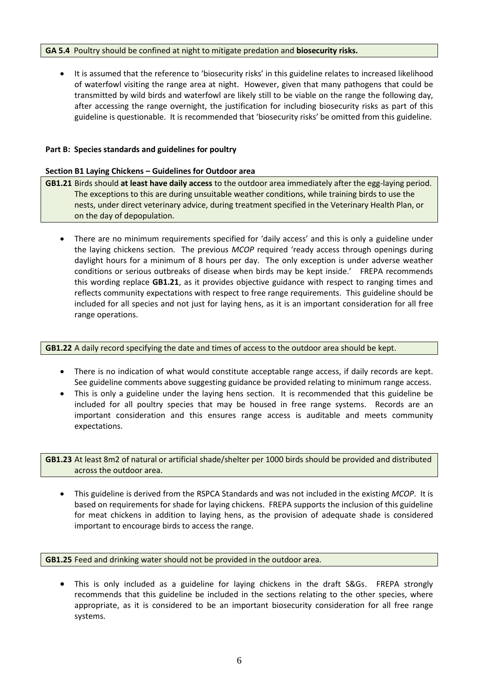# **GA 5.4** Poultry should be confined at night to mitigate predation and **biosecurity risks.**

 It is assumed that the reference to 'biosecurity risks' in this guideline relates to increased likelihood of waterfowl visiting the range area at night. However, given that many pathogens that could be transmitted by wild birds and waterfowl are likely still to be viable on the range the following day, after accessing the range overnight, the justification for including biosecurity risks as part of this guideline is questionable. It is recommended that 'biosecurity risks' be omitted from this guideline.

# **Part B: Species standards and guidelines for poultry**

#### **Section B1 Laying Chickens – Guidelines for Outdoor area**

- **GB1.21** Birds should **at least have daily access** to the outdoor area immediately after the egg-laying period. The exceptions to this are during unsuitable weather conditions, while training birds to use the nests, under direct veterinary advice, during treatment specified in the Veterinary Health Plan, or on the day of depopulation.
	- There are no minimum requirements specified for 'daily access' and this is only a guideline under the laying chickens section. The previous *MCOP* required 'ready access through openings during daylight hours for a minimum of 8 hours per day. The only exception is under adverse weather conditions or serious outbreaks of disease when birds may be kept inside.' FREPA recommends this wording replace **GB1.21**, as it provides objective guidance with respect to ranging times and reflects community expectations with respect to free range requirements. This guideline should be included for all species and not just for laying hens, as it is an important consideration for all free range operations.

#### **GB1.22** A daily record specifying the date and times of access to the outdoor area should be kept.

- There is no indication of what would constitute acceptable range access, if daily records are kept. See guideline comments above suggesting guidance be provided relating to minimum range access.
- This is only a guideline under the laying hens section. It is recommended that this guideline be included for all poultry species that may be housed in free range systems. Records are an important consideration and this ensures range access is auditable and meets community expectations.

**GB1.23** At least 8m2 of natural or artificial shade/shelter per 1000 birds should be provided and distributed across the outdoor area.

 This guideline is derived from the RSPCA Standards and was not included in the existing *MCOP*. It is based on requirements for shade for laying chickens. FREPA supports the inclusion of this guideline for meat chickens in addition to laying hens, as the provision of adequate shade is considered important to encourage birds to access the range.

# **GB1.25** Feed and drinking water should not be provided in the outdoor area.

 This is only included as a guideline for laying chickens in the draft S&Gs. FREPA strongly recommends that this guideline be included in the sections relating to the other species, where appropriate, as it is considered to be an important biosecurity consideration for all free range systems.